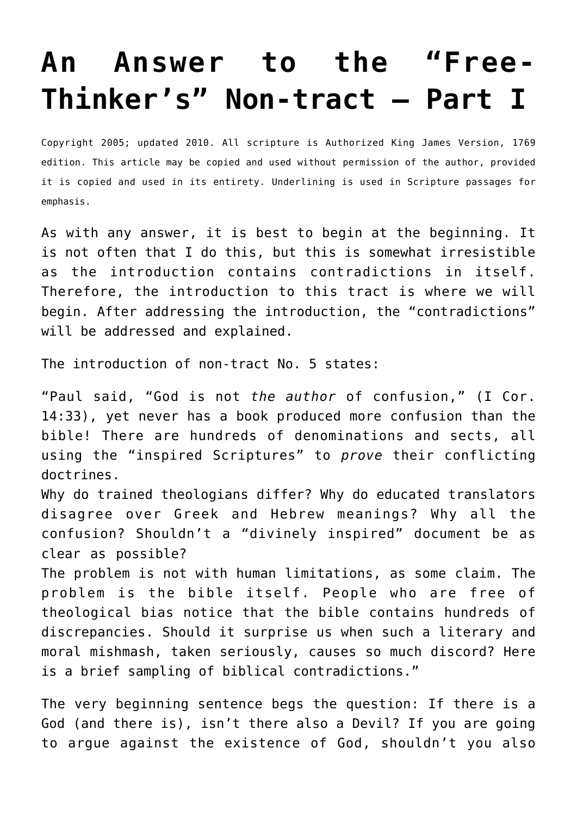## **[An Answer to the "Free-](http://reproachofmen.org/apologetics/an-answer-to-the-free-thinkers-non-tract-part-i/)[Thinker's" Non-tract – Part I](http://reproachofmen.org/apologetics/an-answer-to-the-free-thinkers-non-tract-part-i/)**

Copyright 2005; updated 2010. All scripture is Authorized King James Version, 1769 edition. This article may be copied and used without permission of the author, provided it is copied and used in its entirety. Underlining is used in Scripture passages for emphasis.

As with any answer, it is best to begin at the beginning. It is not often that I do this, but this is somewhat irresistible as the introduction contains contradictions in itself. Therefore, the introduction to this tract is where we will begin. After addressing the introduction, the "contradictions" will be addressed and explained.

The introduction of non-tract No. 5 states:

"Paul said, "God is not *the author* of confusion," (I Cor. 14:33), yet never has a book produced more confusion than the bible! There are hundreds of denominations and sects, all using the "inspired Scriptures" to *prove* their conflicting doctrines.

Why do trained theologians differ? Why do educated translators disagree over Greek and Hebrew meanings? Why all the confusion? Shouldn't a "divinely inspired" document be as clear as possible?

The problem is not with human limitations, as some claim. The problem is the bible itself. People who are free of theological bias notice that the bible contains hundreds of discrepancies. Should it surprise us when such a literary and moral mishmash, taken seriously, causes so much discord? Here is a brief sampling of biblical contradictions."

The very beginning sentence begs the question: If there is a God (and there is), isn't there also a Devil? If you are going to argue against the existence of God, shouldn't you also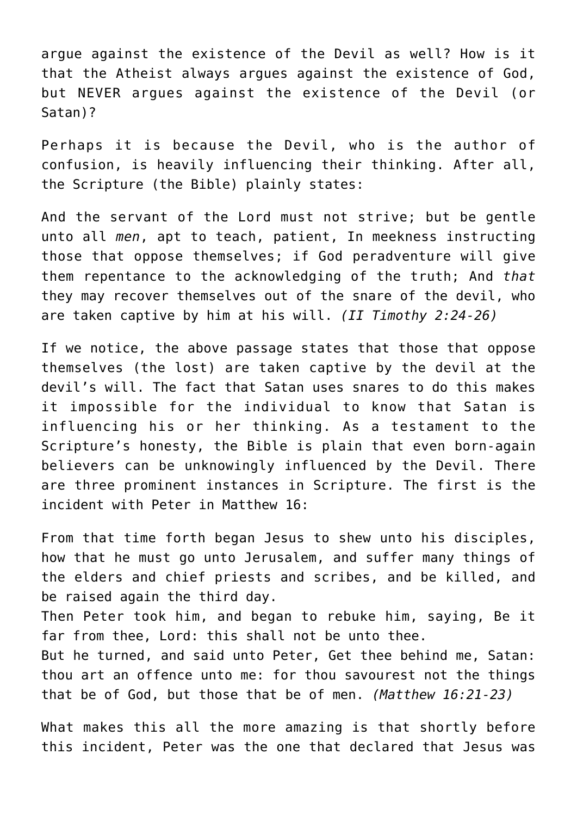argue against the existence of the Devil as well? How is it that the Atheist always argues against the existence of God, but NEVER argues against the existence of the Devil (or Satan)?

Perhaps it is because the Devil, who is the author of confusion, is heavily influencing their thinking. After all, the Scripture (the Bible) plainly states:

And the servant of the Lord must not strive; but be gentle unto all *men*, apt to teach, patient, In meekness instructing those that oppose themselves; if God peradventure will give them repentance to the acknowledging of the truth; And *that* they may recover themselves out of the snare of the devil, who are taken captive by him at his will. *(II Timothy 2:24-26)*

If we notice, the above passage states that those that oppose themselves (the lost) are taken captive by the devil at the devil's will. The fact that Satan uses snares to do this makes it impossible for the individual to know that Satan is influencing his or her thinking. As a testament to the Scripture's honesty, the Bible is plain that even born-again believers can be unknowingly influenced by the Devil. There are three prominent instances in Scripture. The first is the incident with Peter in Matthew 16:

From that time forth began Jesus to shew unto his disciples, how that he must go unto Jerusalem, and suffer many things of the elders and chief priests and scribes, and be killed, and be raised again the third day.

Then Peter took him, and began to rebuke him, saying, Be it far from thee, Lord: this shall not be unto thee.

But he turned, and said unto Peter, Get thee behind me, Satan: thou art an offence unto me: for thou savourest not the things that be of God, but those that be of men. *(Matthew 16:21-23)*

What makes this all the more amazing is that shortly before this incident, Peter was the one that declared that Jesus was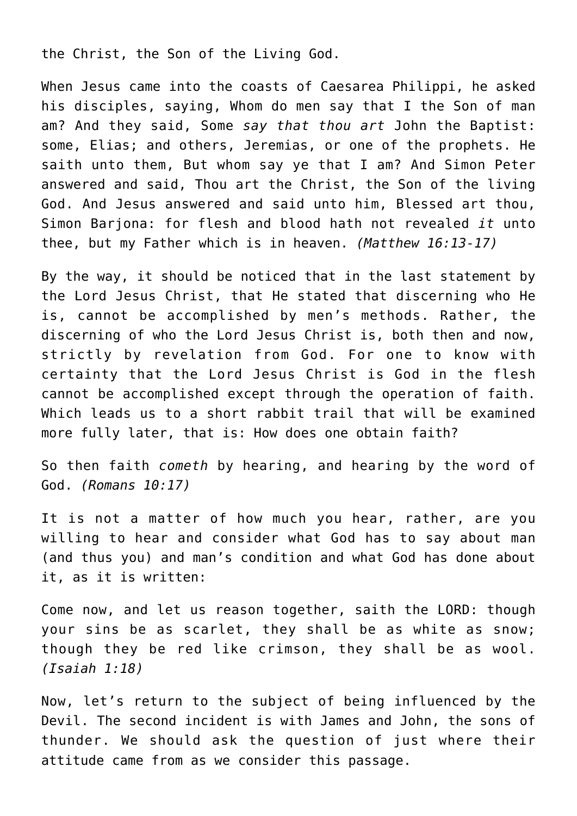the Christ, the Son of the Living God.

When Jesus came into the coasts of Caesarea Philippi, he asked his disciples, saying, Whom do men say that I the Son of man am? And they said, Some *say that thou art* John the Baptist: some, Elias; and others, Jeremias, or one of the prophets. He saith unto them, But whom say ye that I am? And Simon Peter answered and said, Thou art the Christ, the Son of the living God. And Jesus answered and said unto him, Blessed art thou, Simon Barjona: for flesh and blood hath not revealed *it* unto thee, but my Father which is in heaven. *(Matthew 16:13-17)*

By the way, it should be noticed that in the last statement by the Lord Jesus Christ, that He stated that discerning who He is, cannot be accomplished by men's methods. Rather, the discerning of who the Lord Jesus Christ is, both then and now, strictly by revelation from God. For one to know with certainty that the Lord Jesus Christ is God in the flesh cannot be accomplished except through the operation of faith. Which leads us to a short rabbit trail that will be examined more fully later, that is: How does one obtain faith?

So then faith *cometh* by hearing, and hearing by the word of God. *(Romans 10:17)*

It is not a matter of how much you hear, rather, are you willing to hear and consider what God has to say about man (and thus you) and man's condition and what God has done about it, as it is written:

Come now, and let us reason together, saith the LORD: though your sins be as scarlet, they shall be as white as snow; though they be red like crimson, they shall be as wool. *(Isaiah 1:18)*

Now, let's return to the subject of being influenced by the Devil. The second incident is with James and John, the sons of thunder. We should ask the question of just where their attitude came from as we consider this passage.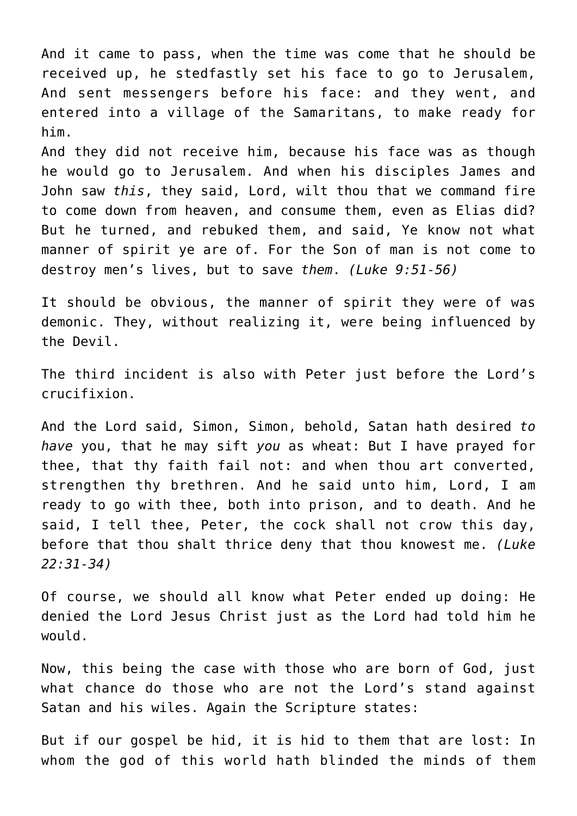And it came to pass, when the time was come that he should be received up, he stedfastly set his face to go to Jerusalem, And sent messengers before his face: and they went, and entered into a village of the Samaritans, to make ready for him.

And they did not receive him, because his face was as though he would go to Jerusalem. And when his disciples James and John saw *this*, they said, Lord, wilt thou that we command fire to come down from heaven, and consume them, even as Elias did? But he turned, and rebuked them, and said, Ye know not what manner of spirit ye are of. For the Son of man is not come to destroy men's lives, but to save *them*. *(Luke 9:51-56)*

It should be obvious, the manner of spirit they were of was demonic. They, without realizing it, were being influenced by the Devil.

The third incident is also with Peter just before the Lord's crucifixion.

And the Lord said, Simon, Simon, behold, Satan hath desired *to have* you, that he may sift *you* as wheat: But I have prayed for thee, that thy faith fail not: and when thou art converted, strengthen thy brethren. And he said unto him, Lord, I am ready to go with thee, both into prison, and to death. And he said, I tell thee, Peter, the cock shall not crow this day, before that thou shalt thrice deny that thou knowest me. *(Luke 22:31-34)*

Of course, we should all know what Peter ended up doing: He denied the Lord Jesus Christ just as the Lord had told him he would.

Now, this being the case with those who are born of God, just what chance do those who are not the Lord's stand against Satan and his wiles. Again the Scripture states:

But if our gospel be hid, it is hid to them that are lost: In whom the god of this world hath blinded the minds of them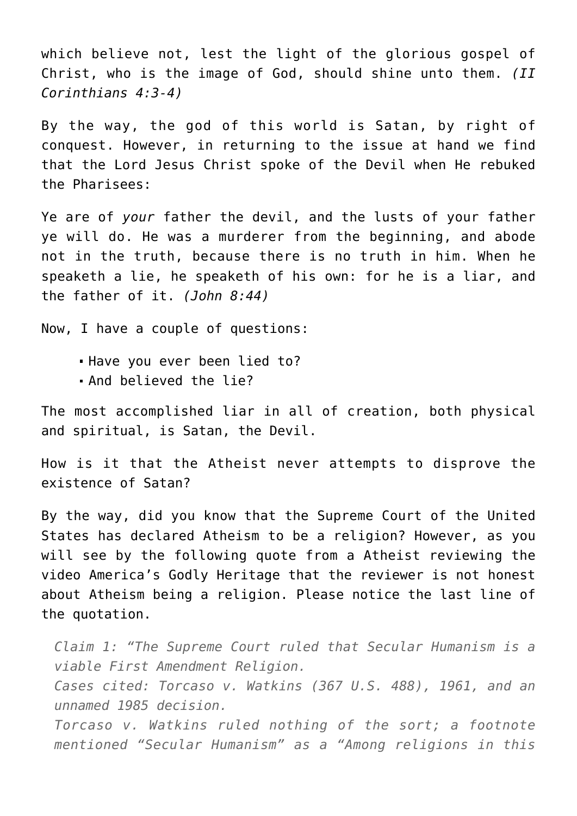which believe not, lest the light of the glorious gospel of Christ, who is the image of God, should shine unto them. *(II Corinthians 4:3-4)*

By the way, the god of this world is Satan, by right of conquest. However, in returning to the issue at hand we find that the Lord Jesus Christ spoke of the Devil when He rebuked the Pharisees:

Ye are of *your* father the devil, and the lusts of your father ye will do. He was a murderer from the beginning, and abode not in the truth, because there is no truth in him. When he speaketh a lie, he speaketh of his own: for he is a liar, and the father of it. *(John 8:44)*

Now, I have a couple of questions:

- Have you ever been lied to?
- And believed the lie?

The most accomplished liar in all of creation, both physical and spiritual, is Satan, the Devil.

How is it that the Atheist never attempts to disprove the existence of Satan?

By the way, did you know that the Supreme Court of the United States has declared Atheism to be a religion? However, as you will see by the following quote from a Atheist reviewing the video America's Godly Heritage that the reviewer is not honest about Atheism being a religion. Please notice the last line of the quotation.

*Claim 1: "The Supreme Court ruled that Secular Humanism is a viable First Amendment Religion. Cases cited: Torcaso v. Watkins (367 U.S. 488), 1961, and an unnamed 1985 decision. Torcaso v. Watkins ruled nothing of the sort; a footnote mentioned "Secular Humanism" as a "Among religions in this*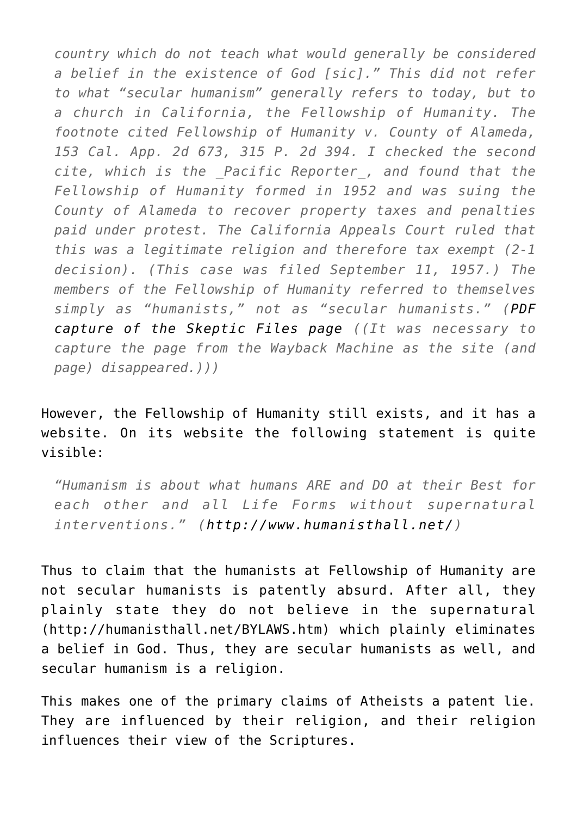*country which do not teach what would generally be considered a belief in the existence of God [sic]." This did not refer to what "secular humanism" generally refers to today, but to a church in California, the Fellowship of Humanity. The footnote cited Fellowship of Humanity v. County of Alameda, 153 Cal. App. 2d 673, 315 P. 2d 394. I checked the second cite, which is the \_Pacific Reporter\_, and found that the Fellowship of Humanity formed in 1952 and was suing the County of Alameda to recover property taxes and penalties paid under protest. The California Appeals Court ruled that this was a legitimate religion and therefore tax exempt (2-1 decision). (This case was filed September 11, 1957.) The members of the Fellowship of Humanity referred to themselves simply as "humanists," not as "secular humanists." ([PDF](http://www.reproachofmen.org/docs/skeptical_video_claim 1_AGH.pdf) [capture of the Skeptic Files page](http://www.reproachofmen.org/docs/skeptical_video_claim 1_AGH.pdf) ((It was necessary to capture the page from the Wayback Machine as the site (and page) disappeared.)))*

## However, the Fellowship of Humanity still exists, and it has a website. On its website the following statement is quite visible:

*"Humanism is about what humans ARE and DO at their Best for each other and all Life Forms without supernatural interventions." ([http://www.humanisthall.net/\)](http://www.humanisthall.net/)*

Thus to claim that the humanists at Fellowship of Humanity are not secular humanists is patently absurd. After all, they plainly state they do not believe in the supernatural ([http://humanisthall.net/BYLAWS.htm](http://humanisthall.net/PURPOSES.html)) which plainly eliminates a belief in God. Thus, they are secular humanists as well, and secular humanism is a religion.

This makes one of the primary claims of Atheists a patent lie. They are influenced by their religion, and their religion influences their view of the Scriptures.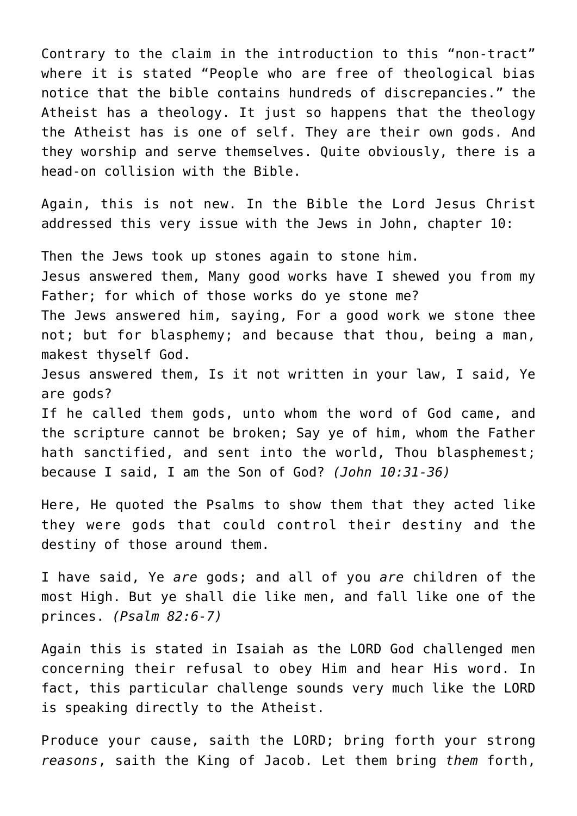Contrary to the claim in the introduction to this "non-tract" where it is stated "People who are free of theological bias notice that the bible contains hundreds of discrepancies." the Atheist has a theology. It just so happens that the theology the Atheist has is one of self. They are their own gods. And they worship and serve themselves. Quite obviously, there is a head-on collision with the Bible.

Again, this is not new. In the Bible the Lord Jesus Christ addressed this very issue with the Jews in John, chapter 10:

Then the Jews took up stones again to stone him. Jesus answered them, Many good works have I shewed you from my Father; for which of those works do ye stone me? The Jews answered him, saying, For a good work we stone thee not; but for blasphemy; and because that thou, being a man, makest thyself God. Jesus answered them, Is it not written in your law, I said, Ye are gods? If he called them gods, unto whom the word of God came, and the scripture cannot be broken; Say ye of him, whom the Father hath sanctified, and sent into the world, Thou blasphemest; because I said, I am the Son of God? *(John 10:31-36)*

Here, He quoted the Psalms to show them that they acted like they were gods that could control their destiny and the destiny of those around them.

I have said, Ye *are* gods; and all of you *are* children of the most High. But ye shall die like men, and fall like one of the princes. *(Psalm 82:6-7)*

Again this is stated in Isaiah as the LORD God challenged men concerning their refusal to obey Him and hear His word. In fact, this particular challenge sounds very much like the LORD is speaking directly to the Atheist.

Produce your cause, saith the LORD; bring forth your strong *reasons*, saith the King of Jacob. Let them bring *them* forth,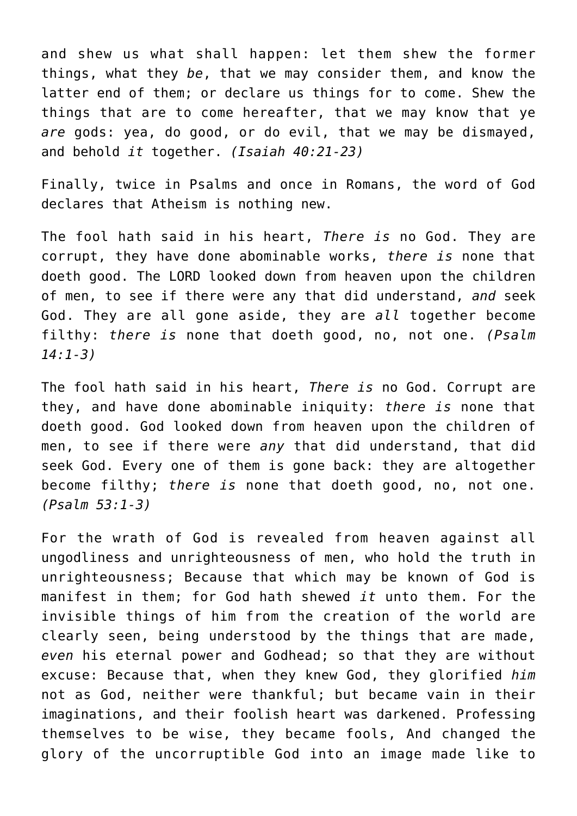and shew us what shall happen: let them shew the former things, what they *be*, that we may consider them, and know the latter end of them; or declare us things for to come. Shew the things that are to come hereafter, that we may know that ye *are* gods: yea, do good, or do evil, that we may be dismayed, and behold *it* together. *(Isaiah 40:21-23)*

Finally, twice in Psalms and once in Romans, the word of God declares that Atheism is nothing new.

The fool hath said in his heart, *There is* no God. They are corrupt, they have done abominable works, *there is* none that doeth good. The LORD looked down from heaven upon the children of men, to see if there were any that did understand, *and* seek God. They are all gone aside, they are *all* together become filthy: *there is* none that doeth good, no, not one. *(Psalm 14:1-3)*

The fool hath said in his heart, *There is* no God. Corrupt are they, and have done abominable iniquity: *there is* none that doeth good. God looked down from heaven upon the children of men, to see if there were *any* that did understand, that did seek God. Every one of them is gone back: they are altogether become filthy; *there is* none that doeth good, no, not one. *(Psalm 53:1-3)*

For the wrath of God is revealed from heaven against all ungodliness and unrighteousness of men, who hold the truth in unrighteousness; Because that which may be known of God is manifest in them; for God hath shewed *it* unto them. For the invisible things of him from the creation of the world are clearly seen, being understood by the things that are made, *even* his eternal power and Godhead; so that they are without excuse: Because that, when they knew God, they glorified *him* not as God, neither were thankful; but became vain in their imaginations, and their foolish heart was darkened. Professing themselves to be wise, they became fools, And changed the glory of the uncorruptible God into an image made like to